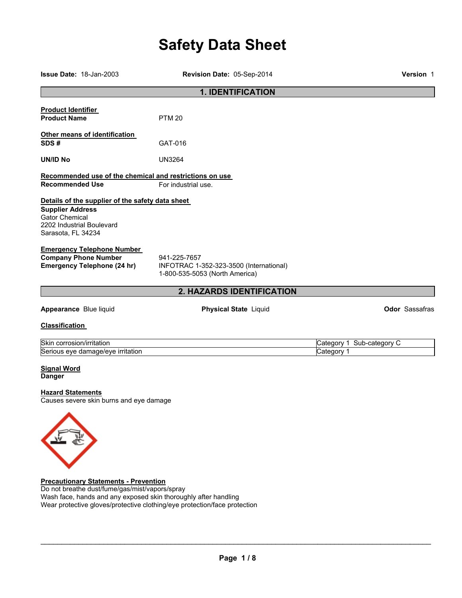# **Safety Data Sheet**

| <b>Issue Date: 18-Jan-2003</b>                                                                                                                   | Revision Date: 05-Sep-2014                                                                | <b>Version 1</b>          |  |  |
|--------------------------------------------------------------------------------------------------------------------------------------------------|-------------------------------------------------------------------------------------------|---------------------------|--|--|
|                                                                                                                                                  | <b>1. IDENTIFICATION</b>                                                                  |                           |  |  |
| <b>Product Identifier</b><br><b>Product Name</b>                                                                                                 | <b>PTM 20</b>                                                                             |                           |  |  |
| Other means of identification<br>SDS#                                                                                                            | GAT-016                                                                                   |                           |  |  |
| <b>UN/ID No</b>                                                                                                                                  | <b>UN3264</b>                                                                             |                           |  |  |
| Recommended use of the chemical and restrictions on use                                                                                          |                                                                                           |                           |  |  |
| <b>Recommended Use</b>                                                                                                                           | For industrial use.                                                                       |                           |  |  |
| Details of the supplier of the safety data sheet<br><b>Supplier Address</b><br>Gator Chemical<br>2202 Industrial Boulevard<br>Sarasota, FL 34234 |                                                                                           |                           |  |  |
| <b>Emergency Telephone Number</b><br><b>Company Phone Number</b><br><b>Emergency Telephone (24 hr)</b>                                           | 941-225-7657<br>INFOTRAC 1-352-323-3500 (International)<br>1-800-535-5053 (North America) |                           |  |  |
|                                                                                                                                                  | 2. HAZARDS IDENTIFICATION                                                                 |                           |  |  |
| Appearance Blue liquid                                                                                                                           | <b>Physical State Liquid</b>                                                              | <b>Odor Sassafras</b>     |  |  |
| <b>Classification</b>                                                                                                                            |                                                                                           |                           |  |  |
| Skin corrosion/irritation                                                                                                                        |                                                                                           | Category 1 Sub-category C |  |  |
| Serious eye damage/eye irritation                                                                                                                |                                                                                           | Category 1                |  |  |
| <b>Signal Word</b><br><b>Danger</b><br><b>Hazard Statements</b>                                                                                  |                                                                                           |                           |  |  |
| Causes severe skin burns and eye damage                                                                                                          |                                                                                           |                           |  |  |
|                                                                                                                                                  |                                                                                           |                           |  |  |

**Precautionary Statements - Prevention**  Do not breathe dust/fume/gas/mist/vapors/spray Wash face, hands and any exposed skin thoroughly after handling Wear protective gloves/protective clothing/eye protection/face protection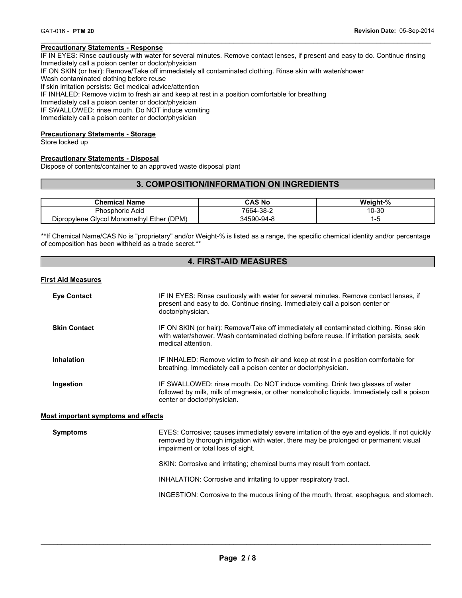#### **Precautionary Statements - Response**

IF IN EYES: Rinse cautiously with water for several minutes. Remove contact lenses, if present and easy to do. Continue rinsing Immediately call a poison center or doctor/physician

 $\mathcal{L}_\mathcal{L} = \{ \mathcal{L}_\mathcal{L} = \{ \mathcal{L}_\mathcal{L} = \{ \mathcal{L}_\mathcal{L} = \{ \mathcal{L}_\mathcal{L} = \{ \mathcal{L}_\mathcal{L} = \{ \mathcal{L}_\mathcal{L} = \{ \mathcal{L}_\mathcal{L} = \{ \mathcal{L}_\mathcal{L} = \{ \mathcal{L}_\mathcal{L} = \{ \mathcal{L}_\mathcal{L} = \{ \mathcal{L}_\mathcal{L} = \{ \mathcal{L}_\mathcal{L} = \{ \mathcal{L}_\mathcal{L} = \{ \mathcal{L}_\mathcal{$ 

IF ON SKIN (or hair): Remove/Take off immediately all contaminated clothing. Rinse skin with water/shower

Wash contaminated clothing before reuse

If skin irritation persists: Get medical advice/attention

IF INHALED: Remove victim to fresh air and keep at rest in a position comfortable for breathing

Immediately call a poison center or doctor/physician

IF SWALLOWED: rinse mouth. Do NOT induce vomiting

Immediately call a poison center or doctor/physician

# **Precautionary Statements - Storage**

Store locked up

#### **Precautionary Statements - Disposal**

Dispose of contents/container to an approved waste disposal plant

# **3. COMPOSITION/INFORMATION ON INGREDIENTS**

| <b>Chemical Name</b>                      | CAS No     | Weight-% |
|-------------------------------------------|------------|----------|
| <b>Phosphoric Acid</b>                    | 7664-38-2  | 10-30    |
| Dipropylene Glycol Monomethyl Ether (DPM) | 34590-94-8 |          |

\*\*If Chemical Name/CAS No is "proprietary" and/or Weight-% is listed as a range, the specific chemical identity and/or percentage of composition has been withheld as a trade secret.\*\*

# **4. FIRST-AID MEASURES**

#### **First Aid Measures**

| <b>Eye Contact</b>                         | IF IN EYES: Rinse cautiously with water for several minutes. Remove contact lenses, if<br>present and easy to do. Continue rinsing. Immediately call a poison center or<br>doctor/physician.                                |  |
|--------------------------------------------|-----------------------------------------------------------------------------------------------------------------------------------------------------------------------------------------------------------------------------|--|
| <b>Skin Contact</b>                        | IF ON SKIN (or hair): Remove/Take off immediately all contaminated clothing. Rinse skin<br>with water/shower. Wash contaminated clothing before reuse. If irritation persists, seek<br>medical attention.                   |  |
| <b>Inhalation</b>                          | IF INHALED: Remove victim to fresh air and keep at rest in a position comfortable for<br>breathing. Immediately call a poison center or doctor/physician.                                                                   |  |
| Ingestion                                  | IF SWALLOWED: rinse mouth. Do NOT induce vomiting. Drink two glasses of water<br>followed by milk, milk of magnesia, or other nonalcoholic liquids. Immediately call a poison<br>center or doctor/physician.                |  |
| <b>Most important symptoms and effects</b> |                                                                                                                                                                                                                             |  |
| <b>Symptoms</b>                            | EYES: Corrosive; causes immediately severe irritation of the eye and eyelids. If not quickly<br>removed by thorough irrigation with water, there may be prolonged or permanent visual<br>impairment or total loss of sight. |  |
|                                            | SKIN: Corrosive and irritating; chemical burns may result from contact.                                                                                                                                                     |  |
|                                            | INHALATION: Corrosive and irritating to upper respiratory tract.                                                                                                                                                            |  |
|                                            | INGESTION: Corrosive to the mucous lining of the mouth, throat, esophagus, and stomach.                                                                                                                                     |  |
|                                            |                                                                                                                                                                                                                             |  |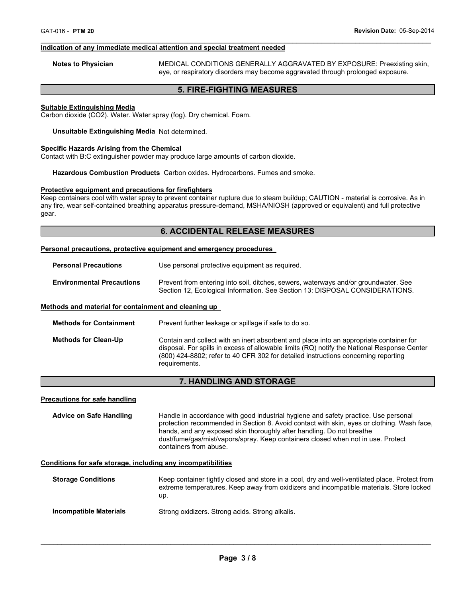#### **Indication of any immediate medical attention and special treatment needed**

**Notes to Physician** MEDICAL CONDITIONS GENERALLY AGGRAVATED BY EXPOSURE: Preexisting skin, eye, or respiratory disorders may become aggravated through prolonged exposure.

# **5. FIRE-FIGHTING MEASURES**

 $\mathcal{L}_\mathcal{L} = \{ \mathcal{L}_\mathcal{L} = \{ \mathcal{L}_\mathcal{L} = \{ \mathcal{L}_\mathcal{L} = \{ \mathcal{L}_\mathcal{L} = \{ \mathcal{L}_\mathcal{L} = \{ \mathcal{L}_\mathcal{L} = \{ \mathcal{L}_\mathcal{L} = \{ \mathcal{L}_\mathcal{L} = \{ \mathcal{L}_\mathcal{L} = \{ \mathcal{L}_\mathcal{L} = \{ \mathcal{L}_\mathcal{L} = \{ \mathcal{L}_\mathcal{L} = \{ \mathcal{L}_\mathcal{L} = \{ \mathcal{L}_\mathcal{$ 

## **Suitable Extinguishing Media**

Carbon dioxide (CO2). Water. Water spray (fog). Dry chemical. Foam.

**Unsuitable Extinguishing Media** Not determined.

#### **Specific Hazards Arising from the Chemical**

Contact with B:C extinguisher powder may produce large amounts of carbon dioxide.

**Hazardous Combustion Products** Carbon oxides. Hydrocarbons. Fumes and smoke.

#### **Protective equipment and precautions for firefighters**

Keep containers cool with water spray to prevent container rupture due to steam buildup; CAUTION - material is corrosive. As in any fire, wear self-contained breathing apparatus pressure-demand, MSHA/NIOSH (approved or equivalent) and full protective gear.

### **6. ACCIDENTAL RELEASE MEASURES**

#### **Personal precautions, protective equipment and emergency procedures**

| <b>Personal Precautions</b>      | Use personal protective equipment as required.                                                                                                                      |  |  |
|----------------------------------|---------------------------------------------------------------------------------------------------------------------------------------------------------------------|--|--|
| <b>Environmental Precautions</b> | Prevent from entering into soil, ditches, sewers, waterways and/or groundwater. See<br>Section 12, Ecological Information. See Section 13: DISPOSAL CONSIDERATIONS. |  |  |

#### **Methods and material for containment and cleaning up**

| <b>Methods for Containment</b> | Prevent further leakage or spillage if safe to do so.                                                                                                                                                                                                                                         |
|--------------------------------|-----------------------------------------------------------------------------------------------------------------------------------------------------------------------------------------------------------------------------------------------------------------------------------------------|
| <b>Methods for Clean-Up</b>    | Contain and collect with an inert absorbent and place into an appropriate container for<br>disposal. For spills in excess of allowable limits (RQ) notify the National Response Center<br>(800) 424-8802; refer to 40 CFR 302 for detailed instructions concerning reporting<br>requirements. |

# **7. HANDLING AND STORAGE**

#### **Precautions for safe handling**

**Advice on Safe Handling** Handle in accordance with good industrial hygiene and safety practice. Use personal protection recommended in Section 8. Avoid contact with skin, eyes or clothing. Wash face, hands, and any exposed skin thoroughly after handling. Do not breathe dust/fume/gas/mist/vapors/spray. Keep containers closed when not in use. Protect containers from abuse.

#### **Conditions for safe storage, including any incompatibilities**

| <b>Storage Conditions</b> | Keep container tightly closed and store in a cool, dry and well-ventilated place. Protect from<br>extreme temperatures. Keep away from oxidizers and incompatible materials. Store locked<br>up. |
|---------------------------|--------------------------------------------------------------------------------------------------------------------------------------------------------------------------------------------------|
| Incompatible Materials    | Strong oxidizers. Strong acids. Strong alkalis.                                                                                                                                                  |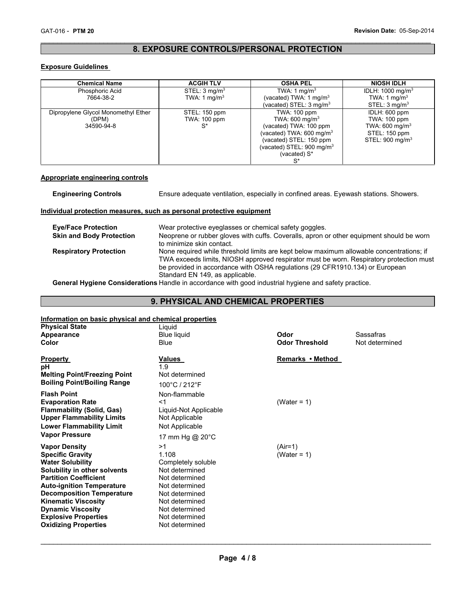# $\mathcal{L}_\mathcal{L} = \{ \mathcal{L}_\mathcal{L} = \{ \mathcal{L}_\mathcal{L} = \{ \mathcal{L}_\mathcal{L} = \{ \mathcal{L}_\mathcal{L} = \{ \mathcal{L}_\mathcal{L} = \{ \mathcal{L}_\mathcal{L} = \{ \mathcal{L}_\mathcal{L} = \{ \mathcal{L}_\mathcal{L} = \{ \mathcal{L}_\mathcal{L} = \{ \mathcal{L}_\mathcal{L} = \{ \mathcal{L}_\mathcal{L} = \{ \mathcal{L}_\mathcal{L} = \{ \mathcal{L}_\mathcal{L} = \{ \mathcal{L}_\mathcal{$ **8. EXPOSURE CONTROLS/PERSONAL PROTECTION**

# **Exposure Guidelines**

| <b>Chemical Name</b>                | <b>ACGIH TLV</b>         | <b>OSHA PEL</b>                      | <b>NIOSH IDLH</b>            |
|-------------------------------------|--------------------------|--------------------------------------|------------------------------|
| Phosphoric Acid                     | STEL: $3 \text{ mg/m}^3$ | TWA: 1 mg/m <sup>3</sup>             | IDLH: 1000 mg/m <sup>3</sup> |
| 7664-38-2                           | TWA: 1 mg/m <sup>3</sup> | (vacated) TWA: 1 mg/m <sup>3</sup>   | TWA: 1 mg/m <sup>3</sup>     |
|                                     |                          | (vacated) STEL: $3 \text{ mg/m}^3$   | STEL: 3 mg/m <sup>3</sup>    |
| Dipropylene Glycol Monomethyl Ether | STEL: 150 ppm            | TWA: 100 ppm                         | IDLH: 600 ppm                |
| (DPM)                               | <b>TWA: 100 ppm</b>      | TWA: 600 mg/m <sup>3</sup>           | TWA: 100 ppm                 |
| 34590-94-8                          | `S*                      | (vacated) TWA: 100 ppm               | TWA: 600 mg/m <sup>3</sup>   |
|                                     |                          | (vacated) TWA: $600 \text{ mg/m}^3$  | STEL: 150 ppm                |
|                                     |                          | (vacated) STEL: 150 ppm              | STEL: 900 mg/m <sup>3</sup>  |
|                                     |                          | (vacated) STEL: $900 \text{ mg/m}^3$ |                              |
|                                     |                          | (vacated) S*                         |                              |
|                                     |                          | $S^*$                                |                              |

## **Appropriate engineering controls**

| <b>Engineering Controls</b>     | Ensure adequate ventilation, especially in confined areas. Eyewash stations. Showers.                                                                                                                                                                                                                  |
|---------------------------------|--------------------------------------------------------------------------------------------------------------------------------------------------------------------------------------------------------------------------------------------------------------------------------------------------------|
|                                 | Individual protection measures, such as personal protective equipment                                                                                                                                                                                                                                  |
| <b>Eye/Face Protection</b>      | Wear protective eyeglasses or chemical safety goggles.                                                                                                                                                                                                                                                 |
| <b>Skin and Body Protection</b> | Neoprene or rubber gloves with cuffs. Coveralls, apron or other equipment should be worn<br>to minimize skin contact.                                                                                                                                                                                  |
| <b>Respiratory Protection</b>   | None required while threshold limits are kept below maximum allowable concentrations; if<br>TWA exceeds limits, NIOSH approved respirator must be worn. Respiratory protection must<br>be provided in accordance with OSHA regulations (29 CFR1910.134) or European<br>Standard EN 149, as applicable. |
|                                 |                                                                                                                                                                                                                                                                                                        |

**General Hygiene Considerations** Handle in accordance with good industrial hygiene and safety practice.

# **9. PHYSICAL AND CHEMICAL PROPERTIES**

# **Information on basic physical and chemical properties**

| <b>Physical State</b><br>Appearance<br>Color                                                                                                                                                                                                                                                                                               | Liquid<br><b>Blue liquid</b><br><b>Blue</b>                                                                                                                                       | Odor<br><b>Odor Threshold</b> | Sassafras<br>Not determined |
|--------------------------------------------------------------------------------------------------------------------------------------------------------------------------------------------------------------------------------------------------------------------------------------------------------------------------------------------|-----------------------------------------------------------------------------------------------------------------------------------------------------------------------------------|-------------------------------|-----------------------------|
| <b>Property</b><br>рH<br><b>Melting Point/Freezing Point</b><br><b>Boiling Point/Boiling Range</b>                                                                                                                                                                                                                                         | Values<br>1.9<br>Not determined<br>100°C / 212°F                                                                                                                                  | Remarks • Method              |                             |
| <b>Flash Point</b><br><b>Evaporation Rate</b><br><b>Flammability (Solid, Gas)</b><br><b>Upper Flammability Limits</b><br><b>Lower Flammability Limit</b><br><b>Vapor Pressure</b>                                                                                                                                                          | Non-flammable<br>$<$ 1<br>Liquid-Not Applicable<br>Not Applicable<br>Not Applicable<br>17 mm Hg @ 20°C                                                                            | (Water = $1$ )                |                             |
| <b>Vapor Density</b><br><b>Specific Gravity</b><br><b>Water Solubility</b><br>Solubility in other solvents<br><b>Partition Coefficient</b><br><b>Auto-ignition Temperature</b><br><b>Decomposition Temperature</b><br><b>Kinematic Viscosity</b><br><b>Dynamic Viscosity</b><br><b>Explosive Properties</b><br><b>Oxidizing Properties</b> | >1<br>1.108<br>Completely soluble<br>Not determined<br>Not determined<br>Not determined<br>Not determined<br>Not determined<br>Not determined<br>Not determined<br>Not determined | (Air=1)<br>(Water = $1$ )     |                             |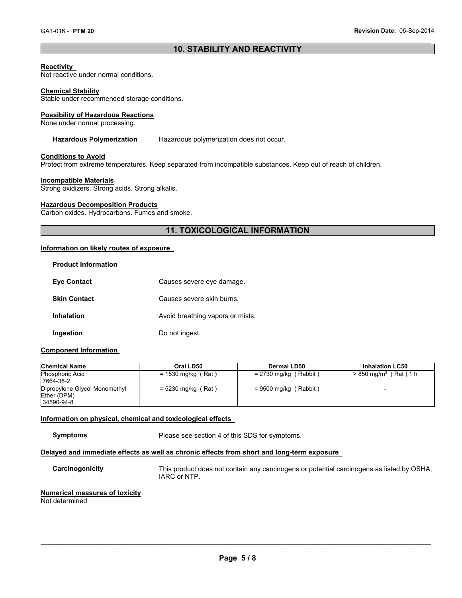# $\mathcal{L}_\mathcal{L} = \{ \mathcal{L}_\mathcal{L} = \{ \mathcal{L}_\mathcal{L} = \{ \mathcal{L}_\mathcal{L} = \{ \mathcal{L}_\mathcal{L} = \{ \mathcal{L}_\mathcal{L} = \{ \mathcal{L}_\mathcal{L} = \{ \mathcal{L}_\mathcal{L} = \{ \mathcal{L}_\mathcal{L} = \{ \mathcal{L}_\mathcal{L} = \{ \mathcal{L}_\mathcal{L} = \{ \mathcal{L}_\mathcal{L} = \{ \mathcal{L}_\mathcal{L} = \{ \mathcal{L}_\mathcal{L} = \{ \mathcal{L}_\mathcal{$ **10. STABILITY AND REACTIVITY**

#### **Reactivity**

Not reactive under normal conditions.

#### **Chemical Stability**

Stable under recommended storage conditions.

#### **Possibility of Hazardous Reactions**

None under normal processing.

## **Hazardous Polymerization** Hazardous polymerization does not occur.

#### **Conditions to Avoid**

Protect from extreme temperatures. Keep separated from incompatible substances. Keep out of reach of children.

#### **Incompatible Materials**

Strong oxidizers. Strong acids. Strong alkalis.

#### **Hazardous Decomposition Products**

Carbon oxides. Hydrocarbons. Fumes and smoke.

# **11. TOXICOLOGICAL INFORMATION**

#### **Information on likely routes of exposure**

| <b>Product Information</b> |                                  |
|----------------------------|----------------------------------|
| <b>Eve Contact</b>         | Causes severe eye damage.        |
| <b>Skin Contact</b>        | Causes severe skin burns.        |
| <b>Inhalation</b>          | Avoid breathing vapors or mists. |
| Ingestion                  | Do not ingest.                   |

#### **Component Information**

| <b>Chemical Name</b>                                       | Oral LD50            | Dermal LD50             | <b>Inhalation LC50</b>              |
|------------------------------------------------------------|----------------------|-------------------------|-------------------------------------|
| <b>Phosphoric Acid</b><br>7664-38-2                        | $= 1530$ mg/kg (Rat) | $= 2730$ mg/kg (Rabbit) | $> 850$ mg/m <sup>3</sup> (Rat) 1 h |
| Dipropylene Glycol Monomethyl<br>Ether (DPM)<br>34590-94-8 | $= 5230$ mg/kg (Rat) | $= 9500$ mg/kg (Rabbit) |                                     |

# **Information on physical, chemical and toxicological effects**

**Symptoms** Please see section 4 of this SDS for symptoms.

# **Delayed and immediate effects as well as chronic effects from short and long-term exposure**

**Carcinogenicity** This product does not contain any carcinogens or potential carcinogens as listed by OSHA, IARC or NTP.

#### **Numerical measures of toxicity**

Not determined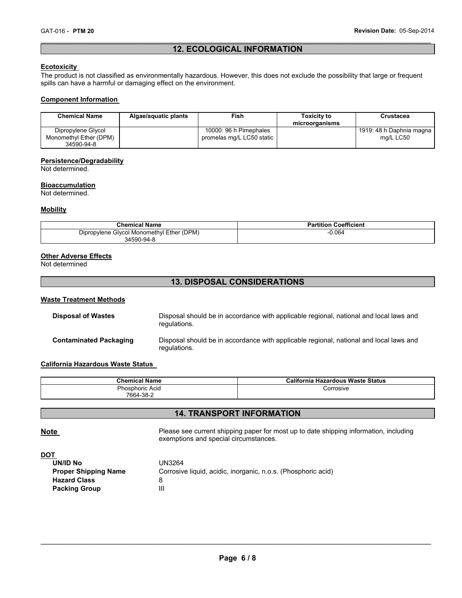# $\mathcal{L}_\mathcal{L} = \{ \mathcal{L}_\mathcal{L} = \{ \mathcal{L}_\mathcal{L} = \{ \mathcal{L}_\mathcal{L} = \{ \mathcal{L}_\mathcal{L} = \{ \mathcal{L}_\mathcal{L} = \{ \mathcal{L}_\mathcal{L} = \{ \mathcal{L}_\mathcal{L} = \{ \mathcal{L}_\mathcal{L} = \{ \mathcal{L}_\mathcal{L} = \{ \mathcal{L}_\mathcal{L} = \{ \mathcal{L}_\mathcal{L} = \{ \mathcal{L}_\mathcal{L} = \{ \mathcal{L}_\mathcal{L} = \{ \mathcal{L}_\mathcal{$ **12. ECOLOGICAL INFORMATION**

### **Ecotoxicity**

The product is not classified as environmentally hazardous. However, this does not exclude the possibility that large or frequent spills can have a harmful or damaging effect on the environment.

#### **Component Information**

| <b>Chemical Name</b>   | Algae/aquatic plants | Fish                      | <b>Toxicity to</b><br>microorganisms | <b>Crustacea</b>         |
|------------------------|----------------------|---------------------------|--------------------------------------|--------------------------|
| Dipropylene Glycol     |                      | 10000: 96 h Pimephales    |                                      | 1919: 48 h Daphnia magna |
| Monomethyl Ether (DPM) |                      | promelas mg/L LC50 static |                                      | ma/L LC50                |
| 34590-94-8             |                      |                           |                                      |                          |

#### **Persistence/Degradability**

Not determined.

#### **Bioaccumulation**

Not determined.

#### **Mobility**

| <b>Chemical Name</b>                      | <b>Partition Coefficient</b> |
|-------------------------------------------|------------------------------|
| Dipropylene Glycol Monomethyl Ether (DPM) | $-0.064$                     |
| 34590-94-8                                |                              |

#### **Other Adverse Effects**

Not determined

# **13. DISPOSAL CONSIDERATIONS**

#### **Waste Treatment Methods**

| <b>Disposal of Wastes</b>     | Disposal should be in accordance with applicable regional, national and local laws and<br>regulations. |
|-------------------------------|--------------------------------------------------------------------------------------------------------|
| <b>Contaminated Packaging</b> | Disposal should be in accordance with applicable regional, national and local laws and<br>regulations. |

#### **California Hazardous Waste Status**

| <b>Chemical Name</b> | California Hazardous Waste Status |
|----------------------|-----------------------------------|
| Phosphoric Acid      | Corrosive                         |
| 7664-38-2            |                                   |

# **14. TRANSPORT INFORMATION**

**Note Please see current shipping paper for most up to date shipping information, including** exemptions and special circumstances.

#### **DOT**

| UN/ID No                    | UN3264                                                        |
|-----------------------------|---------------------------------------------------------------|
| <b>Proper Shipping Name</b> | Corrosive liquid, acidic, inorganic, n.o.s. (Phosphoric acid) |
| <b>Hazard Class</b>         |                                                               |
| <b>Packing Group</b>        | Ш                                                             |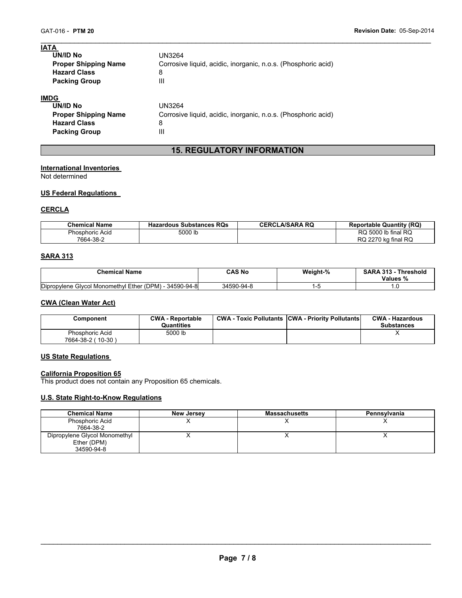| <b>IATA</b>                 |                                                               |
|-----------------------------|---------------------------------------------------------------|
| UN/ID No                    | UN3264                                                        |
| <b>Proper Shipping Name</b> | Corrosive liquid, acidic, inorganic, n.o.s. (Phosphoric acid) |
| <b>Hazard Class</b>         | 8                                                             |
| <b>Packing Group</b>        | Ш                                                             |
| <b>IMDG</b>                 |                                                               |
| UN/ID No                    | UN3264                                                        |
| <b>Proper Shipping Name</b> | Corrosive liquid, acidic, inorganic, n.o.s. (Phosphoric acid) |
| <b>Hazard Class</b>         | 8                                                             |

# **15. REGULATORY INFORMATION**

 $\mathcal{L}_\mathcal{L} = \{ \mathcal{L}_\mathcal{L} = \{ \mathcal{L}_\mathcal{L} = \{ \mathcal{L}_\mathcal{L} = \{ \mathcal{L}_\mathcal{L} = \{ \mathcal{L}_\mathcal{L} = \{ \mathcal{L}_\mathcal{L} = \{ \mathcal{L}_\mathcal{L} = \{ \mathcal{L}_\mathcal{L} = \{ \mathcal{L}_\mathcal{L} = \{ \mathcal{L}_\mathcal{L} = \{ \mathcal{L}_\mathcal{L} = \{ \mathcal{L}_\mathcal{L} = \{ \mathcal{L}_\mathcal{L} = \{ \mathcal{L}_\mathcal{$ 

# **International Inventories**

**Packing Group 111** 

Not determined

# **US Federal Regulations**

# **CERCLA**

| <b>Chemical Name</b> | Hazardous Substances RQs | <b>CERCLA/SARA RQ</b> | <b>Reportable Quantity (RQ)</b> |
|----------------------|--------------------------|-----------------------|---------------------------------|
| Phosphoric Acid      | 5000 lb                  |                       | RQ 5000 lb final RQ             |
| 7664-38-2            |                          |                       | RQ 2270 kg final RQ             |

# **SARA 313**

| <b>Chemical Name</b>                                   | CAS No     | Weight-% | <b>SARA 313 - Threshold</b><br>Values % |
|--------------------------------------------------------|------------|----------|-----------------------------------------|
| Dipropylene Glycol Monomethyl Ether (DPM) - 34590-94-8 | 34590-94-8 |          |                                         |

## **CWA (Clean Water Act)**

| Component                            | <b>CWA - Reportable</b><br><b>Quantities</b> | <b>CWA - Toxic Pollutants CWA - Priority Pollutants</b> | <b>CWA - Hazardous</b><br><b>Substances</b> |
|--------------------------------------|----------------------------------------------|---------------------------------------------------------|---------------------------------------------|
| Phosphoric Acid<br>7664-38-2 (10-30) | 5000 lb                                      |                                                         |                                             |

# **US State Regulations**

#### **California Proposition 65**

This product does not contain any Proposition 65 chemicals.

# **U.S. State Right-to-Know Regulations**

| <b>Chemical Name</b>                                       | <b>New Jersey</b> | <b>Massachusetts</b> | Pennsylvania |
|------------------------------------------------------------|-------------------|----------------------|--------------|
| Phosphoric Acid<br>7664-38-2                               |                   |                      |              |
| Dipropylene Glycol Monomethyl<br>Ether (DPM)<br>34590-94-8 |                   |                      |              |